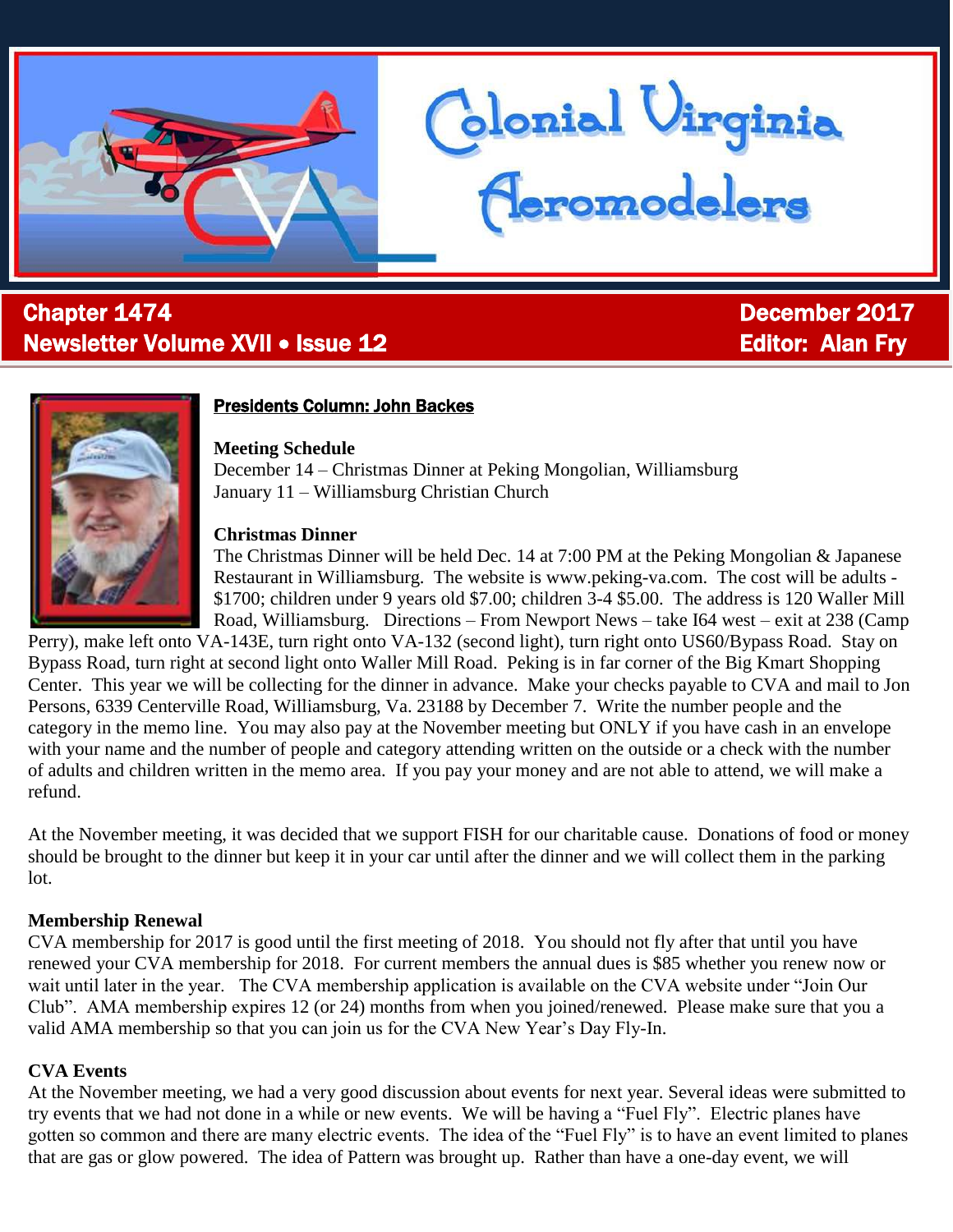

# l Chapter 1474 December 2017 Newsletter Volume XVII • Issue 12 Editor: Alan Fry



## Presidents Column: John Backes

**Meeting Schedule**

December 14 – Christmas Dinner at Peking Mongolian, Williamsburg January 11 – Williamsburg Christian Church

#### **Christmas Dinner**

The Christmas Dinner will be held Dec. 14 at 7:00 PM at the Peking Mongolian & Japanese Restaurant in Williamsburg. The website is www.peking-va.com. The cost will be adults - \$1700; children under 9 years old \$7.00; children 3-4 \$5.00. The address is 120 Waller Mill Road, Williamsburg. Directions – From Newport News – take I64 west – exit at 238 (Camp

blonial Virginia<br>Ceromodelers

Perry), make left onto VA-143E, turn right onto VA-132 (second light), turn right onto US60/Bypass Road. Stay on Bypass Road, turn right at second light onto Waller Mill Road. Peking is in far corner of the Big Kmart Shopping Center. This year we will be collecting for the dinner in advance. Make your checks payable to CVA and mail to Jon Persons, 6339 Centerville Road, Williamsburg, Va. 23188 by December 7. Write the number people and the category in the memo line. You may also pay at the November meeting but ONLY if you have cash in an envelope with your name and the number of people and category attending written on the outside or a check with the number of adults and children written in the memo area. If you pay your money and are not able to attend, we will make a refund.

At the November meeting, it was decided that we support FISH for our charitable cause. Donations of food or money should be brought to the dinner but keep it in your car until after the dinner and we will collect them in the parking lot.

#### **Membership Renewal**

CVA membership for 2017 is good until the first meeting of 2018. You should not fly after that until you have renewed your CVA membership for 2018. For current members the annual dues is \$85 whether you renew now or wait until later in the year. The CVA membership application is available on the CVA website under "Join Our Club". AMA membership expires 12 (or 24) months from when you joined/renewed. Please make sure that you a valid AMA membership so that you can join us for the CVA New Year's Day Fly-In.

### **CVA Events**

At the November meeting, we had a very good discussion about events for next year. Several ideas were submitted to try events that we had not done in a while or new events. We will be having a "Fuel Fly". Electric planes have gotten so common and there are many electric events. The idea of the "Fuel Fly" is to have an event limited to planes that are gas or glow powered. The idea of Pattern was brought up. Rather than have a one-day event, we will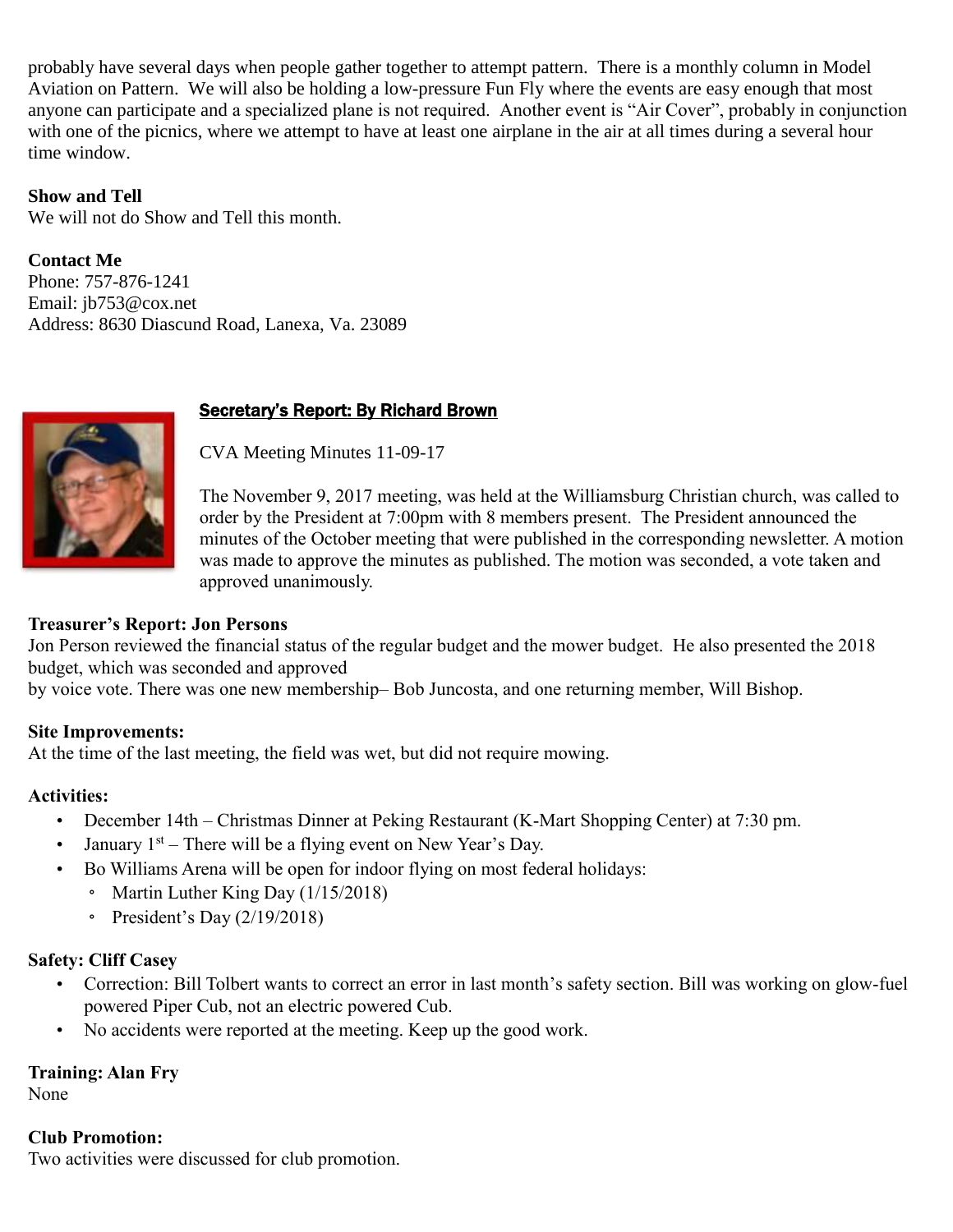probably have several days when people gather together to attempt pattern. There is a monthly column in Model Aviation on Pattern. We will also be holding a low-pressure Fun Fly where the events are easy enough that most anyone can participate and a specialized plane is not required. Another event is "Air Cover", probably in conjunction with one of the picnics, where we attempt to have at least one airplane in the air at all times during a several hour time window.

## **Show and Tell**

We will not do Show and Tell this month.

**Contact Me**

Phone: 757-876-1241 Email: [jb753@cox.net](mailto:jb753@cox.net) Address: 8630 Diascund Road, Lanexa, Va. 23089

# Secretary's Report: By Richard Brown

CVA Meeting Minutes 11-09-17

The November 9, 2017 meeting, was held at the Williamsburg Christian church, was called to order by the President at 7:00pm with 8 members present. The President announced the minutes of the October meeting that were published in the corresponding newsletter. A motion was made to approve the minutes as published. The motion was seconded, a vote taken and approved unanimously.

## **Treasurer's Report: Jon Persons**

Jon Person reviewed the financial status of the regular budget and the mower budget. He also presented the 2018 budget, which was seconded and approved

by voice vote. There was one new membership– Bob Juncosta, and one returning member, Will Bishop.

### **Site Improvements:**

At the time of the last meeting, the field was wet, but did not require mowing.

### **Activities:**

- December 14th Christmas Dinner at Peking Restaurant (K-Mart Shopping Center) at 7:30 pm.
- January  $1<sup>st</sup>$  There will be a flying event on New Year's Day.
- Bo Williams Arena will be open for indoor flying on most federal holidays:
	- Martin Luther King Day (1/15/2018)
		- President's Day (2/19/2018)

# **Safety: Cliff Casey**

- Correction: Bill Tolbert wants to correct an error in last month's safety section. Bill was working on glow-fuel powered Piper Cub, not an electric powered Cub.
- No accidents were reported at the meeting. Keep up the good work.

# **Training: Alan Fry**

None

### **Club Promotion:**

Two activities were discussed for club promotion.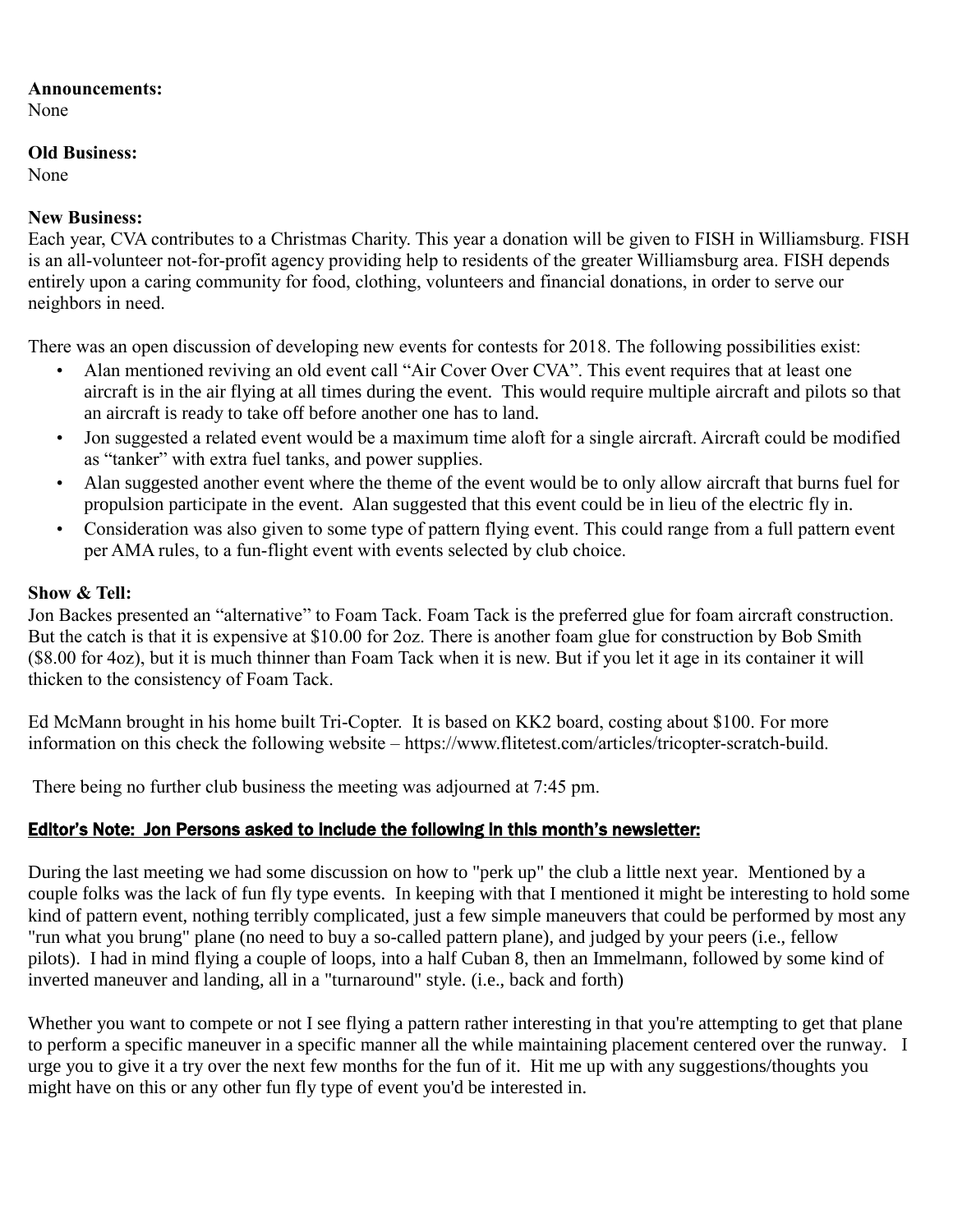#### **Announcements:**

None

## **Old Business:**

None

# **New Business:**

Each year, CVA contributes to a Christmas Charity. This year a donation will be given to FISH in Williamsburg. FISH is an all-volunteer not-for-profit agency providing help to residents of the greater Williamsburg area. FISH depends entirely upon a caring community for food, clothing, volunteers and financial donations, in order to serve our neighbors in need.

There was an open discussion of developing new events for contests for 2018. The following possibilities exist:

- Alan mentioned reviving an old event call "Air Cover Over CVA". This event requires that at least one aircraft is in the air flying at all times during the event. This would require multiple aircraft and pilots so that an aircraft is ready to take off before another one has to land.
- Jon suggested a related event would be a maximum time aloft for a single aircraft. Aircraft could be modified as "tanker" with extra fuel tanks, and power supplies.
- Alan suggested another event where the theme of the event would be to only allow aircraft that burns fuel for propulsion participate in the event. Alan suggested that this event could be in lieu of the electric fly in.
- Consideration was also given to some type of pattern flying event. This could range from a full pattern event per AMA rules, to a fun-flight event with events selected by club choice.

# **Show & Tell:**

Jon Backes presented an "alternative" to Foam Tack. Foam Tack is the preferred glue for foam aircraft construction. But the catch is that it is expensive at \$10.00 for 2oz. There is another foam glue for construction by Bob Smith (\$8.00 for 4oz), but it is much thinner than Foam Tack when it is new. But if you let it age in its container it will thicken to the consistency of Foam Tack.

Ed McMann brought in his home built Tri-Copter. It is based on KK2 board, costing about \$100. For more information on this check the following website – [https://www.flitetest.com/articles/tricopter-scratch-build.](https://www.flitetest.com/articles/tricopter-scratch-build)

There being no further club business the meeting was adjourned at 7:45 pm.

# Editor's Note: Jon Persons asked to include the following in this month's newsletter:

During the last meeting we had some discussion on how to "perk up" the club a little next year. Mentioned by a couple folks was the lack of fun fly type events. In keeping with that I mentioned it might be interesting to hold some kind of pattern event, nothing terribly complicated, just a few simple maneuvers that could be performed by most any "run what you brung" plane (no need to buy a so-called pattern plane), and judged by your peers (i.e., fellow pilots). I had in mind flying a couple of loops, into a half Cuban 8, then an Immelmann, followed by some kind of inverted maneuver and landing, all in a "turnaround" style. (i.e., back and forth)

Whether you want to compete or not I see flying a pattern rather interesting in that you're attempting to get that plane to perform a specific maneuver in a specific manner all the while maintaining placement centered over the runway. I urge you to give it a try over the next few months for the fun of it. Hit me up with any suggestions/thoughts you might have on this or any other fun fly type of event you'd be interested in.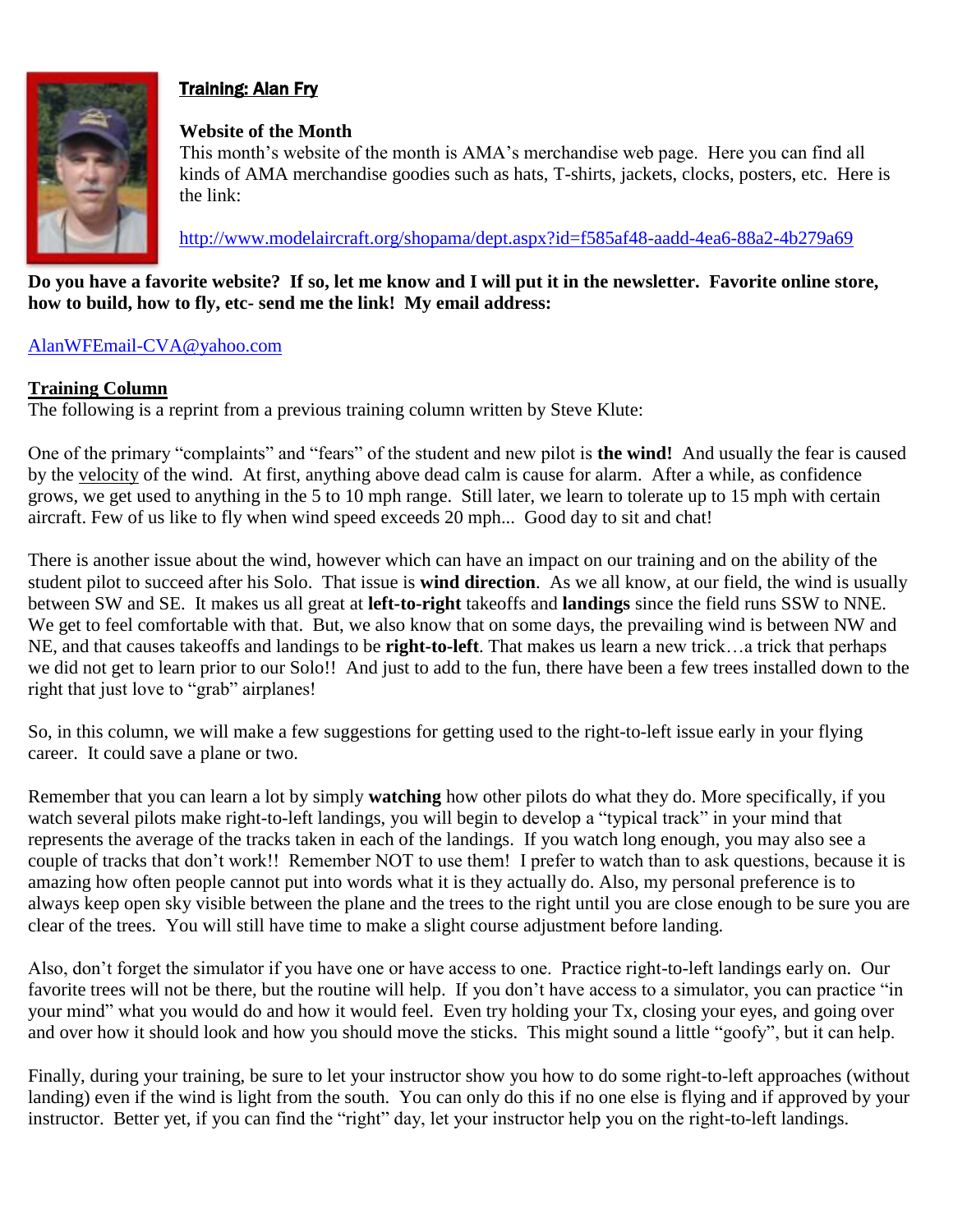

# Training: Alan Fry

#### **Website of the Month**

This month's website of the month is AMA's merchandise web page. Here you can find all kinds of AMA merchandise goodies such as hats, T-shirts, jackets, clocks, posters, etc. Here is the link:

<http://www.modelaircraft.org/shopama/dept.aspx?id=f585af48-aadd-4ea6-88a2-4b279a69>

**Do you have a favorite website? If so, let me know and I will put it in the newsletter. Favorite online store, how to build, how to fly, etc- send me the link! My email address:**

### [AlanWFEmail-CVA@yahoo.com](mailto:AlanWFEmail-CVA@yahoo.com)

#### **Training Column**

The following is a reprint from a previous training column written by Steve Klute:

One of the primary "complaints" and "fears" of the student and new pilot is **the wind!** And usually the fear is caused by the velocity of the wind. At first, anything above dead calm is cause for alarm. After a while, as confidence grows, we get used to anything in the 5 to 10 mph range. Still later, we learn to tolerate up to 15 mph with certain aircraft. Few of us like to fly when wind speed exceeds 20 mph... Good day to sit and chat!

There is another issue about the wind, however which can have an impact on our training and on the ability of the student pilot to succeed after his Solo. That issue is **wind direction**. As we all know, at our field, the wind is usually between SW and SE. It makes us all great at **left-to-right** takeoffs and **landings** since the field runs SSW to NNE. We get to feel comfortable with that. But, we also know that on some days, the prevailing wind is between NW and NE, and that causes takeoffs and landings to be **right-to-left**. That makes us learn a new trick…a trick that perhaps we did not get to learn prior to our Solo!! And just to add to the fun, there have been a few trees installed down to the right that just love to "grab" airplanes!

So, in this column, we will make a few suggestions for getting used to the right-to-left issue early in your flying career. It could save a plane or two.

Remember that you can learn a lot by simply **watching** how other pilots do what they do. More specifically, if you watch several pilots make right-to-left landings, you will begin to develop a "typical track" in your mind that represents the average of the tracks taken in each of the landings. If you watch long enough, you may also see a couple of tracks that don't work!! Remember NOT to use them! I prefer to watch than to ask questions, because it is amazing how often people cannot put into words what it is they actually do. Also, my personal preference is to always keep open sky visible between the plane and the trees to the right until you are close enough to be sure you are clear of the trees. You will still have time to make a slight course adjustment before landing.

Also, don't forget the simulator if you have one or have access to one. Practice right-to-left landings early on. Our favorite trees will not be there, but the routine will help. If you don't have access to a simulator, you can practice "in your mind" what you would do and how it would feel. Even try holding your Tx, closing your eyes, and going over and over how it should look and how you should move the sticks. This might sound a little "goofy", but it can help.

Finally, during your training, be sure to let your instructor show you how to do some right-to-left approaches (without landing) even if the wind is light from the south. You can only do this if no one else is flying and if approved by your instructor. Better yet, if you can find the "right" day, let your instructor help you on the right-to-left landings.